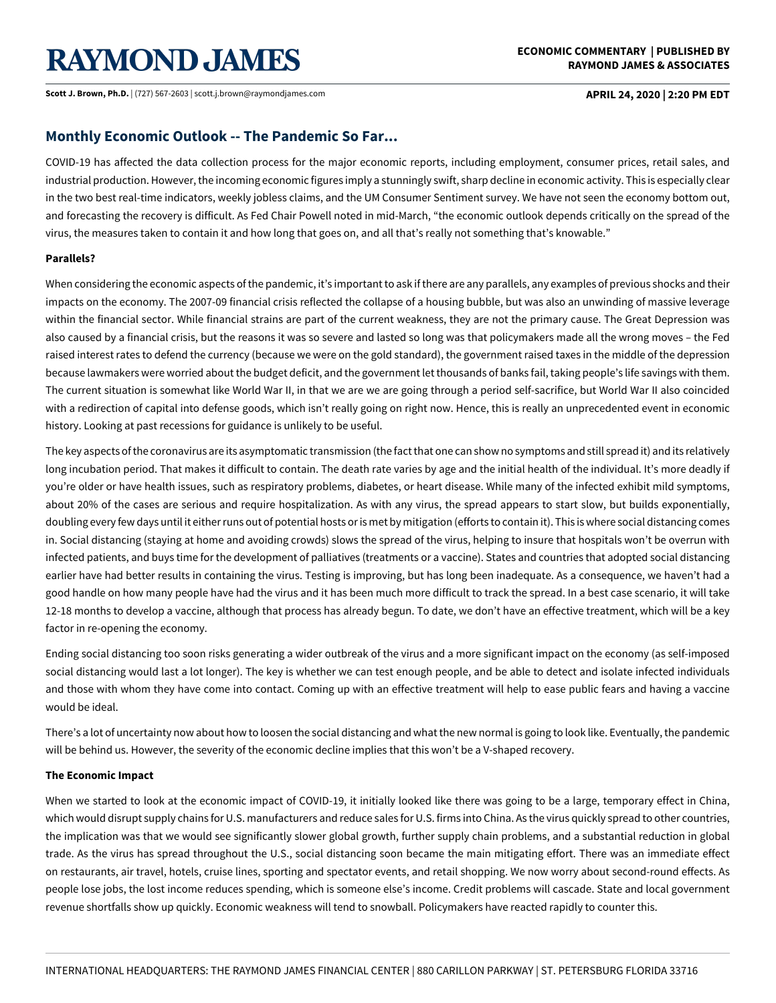# **RAYMOND JAMES**

**Scott J. Brown, Ph.D.** | (727) 567-2603 | scott.j.brown@raymondjames.com **APRIL 24, 2020 | 2:20 PM EDT** 

### **ECONOMIC COMMENTARY | PUBLISHED BY RAYMOND JAMES & ASSOCIATES**

## **Monthly Economic Outlook -- The Pandemic So Far...**

COVID-19 has affected the data collection process for the major economic reports, including employment, consumer prices, retail sales, and industrial production. However, the incoming economic figures imply a stunningly swift, sharp decline in economic activity. This is especially clear in the two best real-time indicators, weekly jobless claims, and the UM Consumer Sentiment survey. We have not seen the economy bottom out, and forecasting the recovery is difficult. As Fed Chair Powell noted in mid-March, "the economic outlook depends critically on the spread of the virus, the measures taken to contain it and how long that goes on, and all that's really not something that's knowable."

### **Parallels?**

When considering the economic aspects of the pandemic, it's important to ask if there are any parallels, any examples of previous shocks and their impacts on the economy. The 2007-09 financial crisis reflected the collapse of a housing bubble, but was also an unwinding of massive leverage within the financial sector. While financial strains are part of the current weakness, they are not the primary cause. The Great Depression was also caused by a financial crisis, but the reasons it was so severe and lasted so long was that policymakers made all the wrong moves – the Fed raised interest rates to defend the currency (because we were on the gold standard), the government raised taxes in the middle of the depression because lawmakers were worried about the budget deficit, and the government let thousands of banks fail, taking people's life savings with them. The current situation is somewhat like World War II, in that we are we are going through a period self-sacrifice, but World War II also coincided with a redirection of capital into defense goods, which isn't really going on right now. Hence, this is really an unprecedented event in economic history. Looking at past recessions for guidance is unlikely to be useful.

The key aspects of the coronavirus are its asymptomatic transmission (the fact that one can show no symptoms and still spread it) and its relatively long incubation period. That makes it difficult to contain. The death rate varies by age and the initial health of the individual. It's more deadly if you're older or have health issues, such as respiratory problems, diabetes, or heart disease. While many of the infected exhibit mild symptoms, about 20% of the cases are serious and require hospitalization. As with any virus, the spread appears to start slow, but builds exponentially, doubling every few days until it either runs out of potential hosts or is met by mitigation (efforts to contain it). This is where social distancing comes in. Social distancing (staying at home and avoiding crowds) slows the spread of the virus, helping to insure that hospitals won't be overrun with infected patients, and buys time for the development of palliatives (treatments or a vaccine). States and countries that adopted social distancing earlier have had better results in containing the virus. Testing is improving, but has long been inadequate. As a consequence, we haven't had a good handle on how many people have had the virus and it has been much more difficult to track the spread. In a best case scenario, it will take 12-18 months to develop a vaccine, although that process has already begun. To date, we don't have an effective treatment, which will be a key factor in re-opening the economy.

Ending social distancing too soon risks generating a wider outbreak of the virus and a more significant impact on the economy (as self-imposed social distancing would last a lot longer). The key is whether we can test enough people, and be able to detect and isolate infected individuals and those with whom they have come into contact. Coming up with an effective treatment will help to ease public fears and having a vaccine would be ideal.

There's a lot of uncertainty now about how to loosen the social distancing and what the new normal is going to look like. Eventually, the pandemic will be behind us. However, the severity of the economic decline implies that this won't be a V-shaped recovery.

### **The Economic Impact**

When we started to look at the economic impact of COVID-19, it initially looked like there was going to be a large, temporary effect in China, which would disrupt supply chains for U.S. manufacturers and reduce sales for U.S. firms into China. As the virus quickly spread to other countries, the implication was that we would see significantly slower global growth, further supply chain problems, and a substantial reduction in global trade. As the virus has spread throughout the U.S., social distancing soon became the main mitigating effort. There was an immediate effect on restaurants, air travel, hotels, cruise lines, sporting and spectator events, and retail shopping. We now worry about second-round effects. As people lose jobs, the lost income reduces spending, which is someone else's income. Credit problems will cascade. State and local government revenue shortfalls show up quickly. Economic weakness will tend to snowball. Policymakers have reacted rapidly to counter this.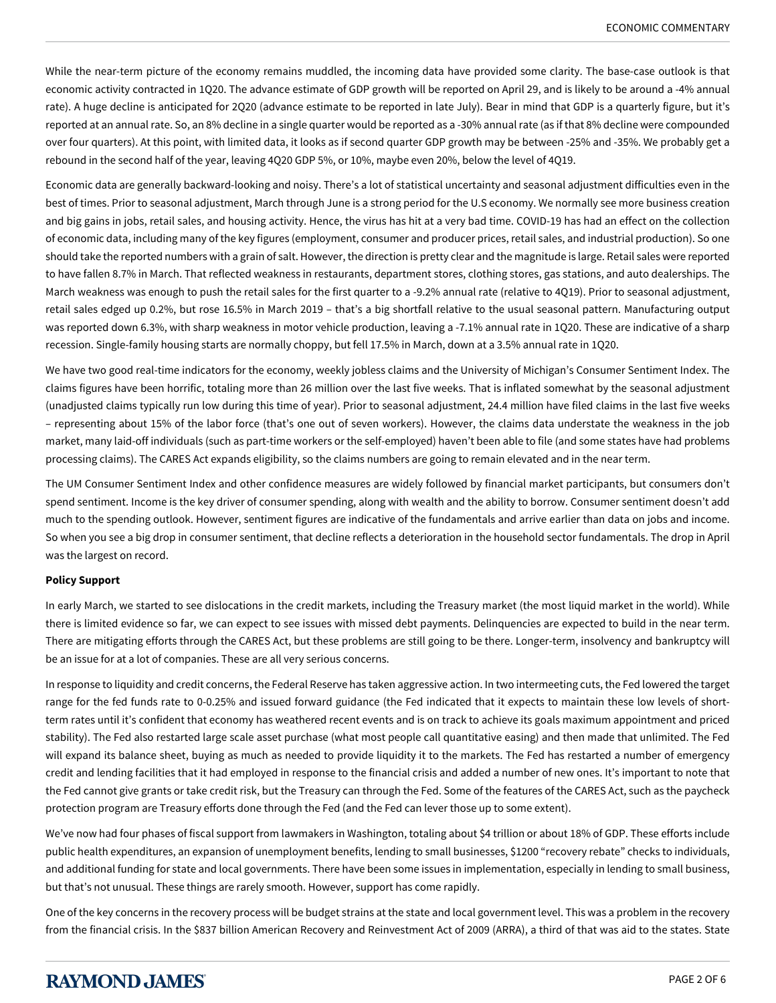While the near-term picture of the economy remains muddled, the incoming data have provided some clarity. The base-case outlook is that economic activity contracted in 1Q20. The advance estimate of GDP growth will be reported on April 29, and is likely to be around a -4% annual rate). A huge decline is anticipated for 2Q20 (advance estimate to be reported in late July). Bear in mind that GDP is a quarterly figure, but it's reported at an annual rate. So, an 8% decline in a single quarter would be reported as a -30% annual rate (as if that 8% decline were compounded over four quarters). At this point, with limited data, it looks as if second quarter GDP growth may be between -25% and -35%. We probably get a rebound in the second half of the year, leaving 4Q20 GDP 5%, or 10%, maybe even 20%, below the level of 4Q19.

Economic data are generally backward-looking and noisy. There's a lot of statistical uncertainty and seasonal adjustment difficulties even in the best of times. Prior to seasonal adjustment, March through June is a strong period for the U.S economy. We normally see more business creation and big gains in jobs, retail sales, and housing activity. Hence, the virus has hit at a very bad time. COVID-19 has had an effect on the collection of economic data, including many of the key figures (employment, consumer and producer prices, retail sales, and industrial production). So one should take the reported numbers with a grain of salt. However, the direction is pretty clear and the magnitude is large. Retail sales were reported to have fallen 8.7% in March. That reflected weakness in restaurants, department stores, clothing stores, gas stations, and auto dealerships. The March weakness was enough to push the retail sales for the first quarter to a -9.2% annual rate (relative to 4Q19). Prior to seasonal adjustment, retail sales edged up 0.2%, but rose 16.5% in March 2019 – that's a big shortfall relative to the usual seasonal pattern. Manufacturing output was reported down 6.3%, with sharp weakness in motor vehicle production, leaving a -7.1% annual rate in 1Q20. These are indicative of a sharp recession. Single-family housing starts are normally choppy, but fell 17.5% in March, down at a 3.5% annual rate in 1Q20.

We have two good real-time indicators for the economy, weekly jobless claims and the University of Michigan's Consumer Sentiment Index. The claims figures have been horrific, totaling more than 26 million over the last five weeks. That is inflated somewhat by the seasonal adjustment (unadjusted claims typically run low during this time of year). Prior to seasonal adjustment, 24.4 million have filed claims in the last five weeks – representing about 15% of the labor force (that's one out of seven workers). However, the claims data understate the weakness in the job market, many laid-off individuals (such as part-time workers or the self-employed) haven't been able to file (and some states have had problems processing claims). The CARES Act expands eligibility, so the claims numbers are going to remain elevated and in the near term.

The UM Consumer Sentiment Index and other confidence measures are widely followed by financial market participants, but consumers don't spend sentiment. Income is the key driver of consumer spending, along with wealth and the ability to borrow. Consumer sentiment doesn't add much to the spending outlook. However, sentiment figures are indicative of the fundamentals and arrive earlier than data on jobs and income. So when you see a big drop in consumer sentiment, that decline reflects a deterioration in the household sector fundamentals. The drop in April was the largest on record.

### **Policy Support**

In early March, we started to see dislocations in the credit markets, including the Treasury market (the most liquid market in the world). While there is limited evidence so far, we can expect to see issues with missed debt payments. Delinquencies are expected to build in the near term. There are mitigating efforts through the CARES Act, but these problems are still going to be there. Longer-term, insolvency and bankruptcy will be an issue for at a lot of companies. These are all very serious concerns.

In response to liquidity and credit concerns, the Federal Reserve has taken aggressive action. In two intermeeting cuts, the Fed lowered the target range for the fed funds rate to 0-0.25% and issued forward guidance (the Fed indicated that it expects to maintain these low levels of shortterm rates until it's confident that economy has weathered recent events and is on track to achieve its goals maximum appointment and priced stability). The Fed also restarted large scale asset purchase (what most people call quantitative easing) and then made that unlimited. The Fed will expand its balance sheet, buying as much as needed to provide liquidity it to the markets. The Fed has restarted a number of emergency credit and lending facilities that it had employed in response to the financial crisis and added a number of new ones. It's important to note that the Fed cannot give grants or take credit risk, but the Treasury can through the Fed. Some of the features of the CARES Act, such as the paycheck protection program are Treasury efforts done through the Fed (and the Fed can lever those up to some extent).

We've now had four phases of fiscal support from lawmakers in Washington, totaling about \$4 trillion or about 18% of GDP. These efforts include public health expenditures, an expansion of unemployment benefits, lending to small businesses, \$1200 "recovery rebate" checks to individuals, and additional funding for state and local governments. There have been some issues in implementation, especially in lending to small business, but that's not unusual. These things are rarely smooth. However, support has come rapidly.

One of the key concerns in the recovery process will be budget strains at the state and local government level. This was a problem in the recovery from the financial crisis. In the \$837 billion American Recovery and Reinvestment Act of 2009 (ARRA), a third of that was aid to the states. State

# **RAYMOND JAMES**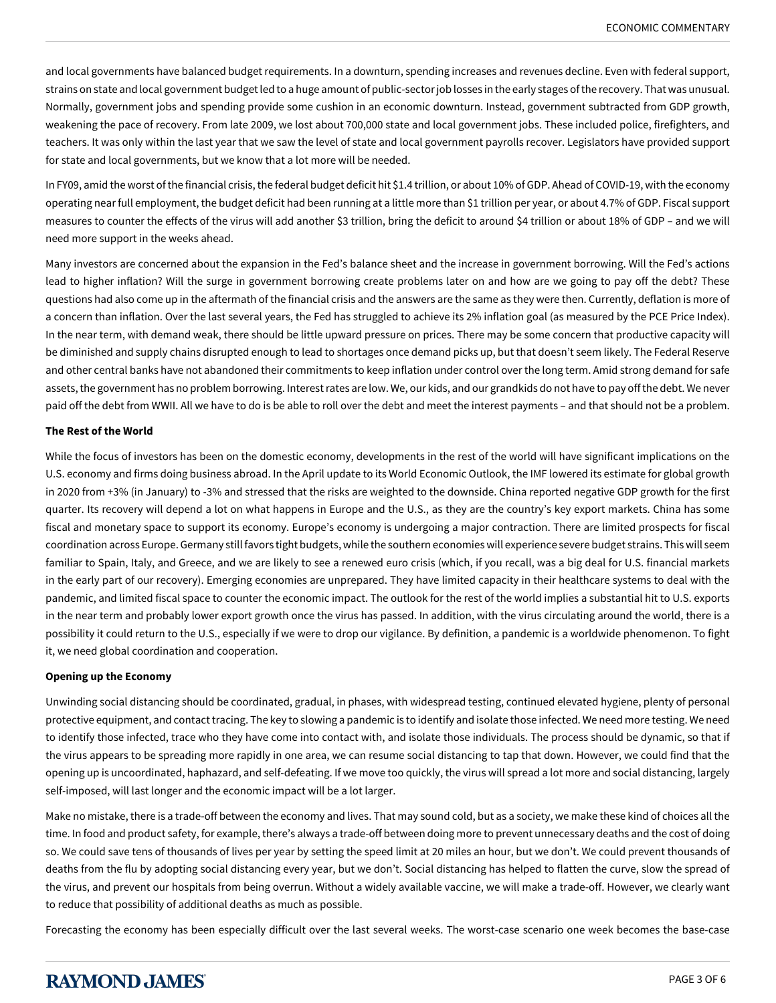and local governments have balanced budget requirements. In a downturn, spending increases and revenues decline. Even with federal support, strains on state and local government budget led to a huge amount of public-sector job losses in the early stages of the recovery. That was unusual. Normally, government jobs and spending provide some cushion in an economic downturn. Instead, government subtracted from GDP growth, weakening the pace of recovery. From late 2009, we lost about 700,000 state and local government jobs. These included police, firefighters, and teachers. It was only within the last year that we saw the level of state and local government payrolls recover. Legislators have provided support for state and local governments, but we know that a lot more will be needed.

In FY09, amid the worst of the financial crisis, the federal budget deficit hit \$1.4 trillion, or about 10% of GDP. Ahead of COVID-19, with the economy operating near full employment, the budget deficit had been running at a little more than \$1 trillion per year, or about 4.7% of GDP. Fiscal support measures to counter the effects of the virus will add another \$3 trillion, bring the deficit to around \$4 trillion or about 18% of GDP – and we will need more support in the weeks ahead.

Many investors are concerned about the expansion in the Fed's balance sheet and the increase in government borrowing. Will the Fed's actions lead to higher inflation? Will the surge in government borrowing create problems later on and how are we going to pay off the debt? These questions had also come up in the aftermath of the financial crisis and the answers are the same as they were then. Currently, deflation is more of a concern than inflation. Over the last several years, the Fed has struggled to achieve its 2% inflation goal (as measured by the PCE Price Index). In the near term, with demand weak, there should be little upward pressure on prices. There may be some concern that productive capacity will be diminished and supply chains disrupted enough to lead to shortages once demand picks up, but that doesn't seem likely. The Federal Reserve and other central banks have not abandoned their commitments to keep inflation under control over the long term. Amid strong demand for safe assets, the government has no problem borrowing. Interest rates are low. We, our kids, and our grandkids do not have to pay off the debt. We never paid off the debt from WWII. All we have to do is be able to roll over the debt and meet the interest payments – and that should not be a problem.

### **The Rest of the World**

While the focus of investors has been on the domestic economy, developments in the rest of the world will have significant implications on the U.S. economy and firms doing business abroad. In the April update to its World Economic Outlook, the IMF lowered its estimate for global growth in 2020 from +3% (in January) to -3% and stressed that the risks are weighted to the downside. China reported negative GDP growth for the first quarter. Its recovery will depend a lot on what happens in Europe and the U.S., as they are the country's key export markets. China has some fiscal and monetary space to support its economy. Europe's economy is undergoing a major contraction. There are limited prospects for fiscal coordination across Europe. Germany still favors tight budgets, while the southern economies will experience severe budget strains. This will seem familiar to Spain, Italy, and Greece, and we are likely to see a renewed euro crisis (which, if you recall, was a big deal for U.S. financial markets in the early part of our recovery). Emerging economies are unprepared. They have limited capacity in their healthcare systems to deal with the pandemic, and limited fiscal space to counter the economic impact. The outlook for the rest of the world implies a substantial hit to U.S. exports in the near term and probably lower export growth once the virus has passed. In addition, with the virus circulating around the world, there is a possibility it could return to the U.S., especially if we were to drop our vigilance. By definition, a pandemic is a worldwide phenomenon. To fight it, we need global coordination and cooperation.

### **Opening up the Economy**

Unwinding social distancing should be coordinated, gradual, in phases, with widespread testing, continued elevated hygiene, plenty of personal protective equipment, and contact tracing. The key to slowing a pandemic is to identify and isolate those infected. We need more testing. We need to identify those infected, trace who they have come into contact with, and isolate those individuals. The process should be dynamic, so that if the virus appears to be spreading more rapidly in one area, we can resume social distancing to tap that down. However, we could find that the opening up is uncoordinated, haphazard, and self-defeating. If we move too quickly, the virus will spread a lot more and social distancing, largely self-imposed, will last longer and the economic impact will be a lot larger.

Make no mistake, there is a trade-off between the economy and lives. That may sound cold, but as a society, we make these kind of choices all the time. In food and product safety, for example, there's always a trade-off between doing more to prevent unnecessary deaths and the cost of doing so. We could save tens of thousands of lives per year by setting the speed limit at 20 miles an hour, but we don't. We could prevent thousands of deaths from the flu by adopting social distancing every year, but we don't. Social distancing has helped to flatten the curve, slow the spread of the virus, and prevent our hospitals from being overrun. Without a widely available vaccine, we will make a trade-off. However, we clearly want to reduce that possibility of additional deaths as much as possible.

Forecasting the economy has been especially difficult over the last several weeks. The worst-case scenario one week becomes the base-case

# **RAYMOND JAMES**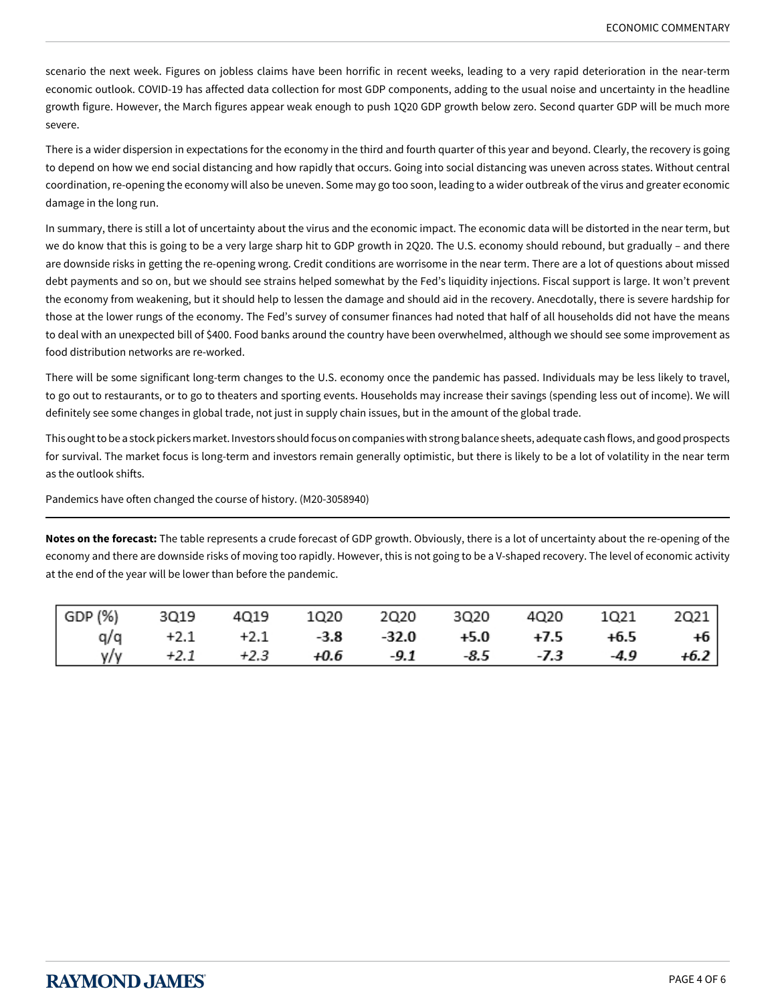scenario the next week. Figures on jobless claims have been horrific in recent weeks, leading to a very rapid deterioration in the near-term economic outlook. COVID-19 has affected data collection for most GDP components, adding to the usual noise and uncertainty in the headline growth figure. However, the March figures appear weak enough to push 1Q20 GDP growth below zero. Second quarter GDP will be much more severe.

There is a wider dispersion in expectations for the economy in the third and fourth quarter of this year and beyond. Clearly, the recovery is going to depend on how we end social distancing and how rapidly that occurs. Going into social distancing was uneven across states. Without central coordination, re-opening the economy will also be uneven. Some may go too soon, leading to a wider outbreak of the virus and greater economic damage in the long run.

In summary, there is still a lot of uncertainty about the virus and the economic impact. The economic data will be distorted in the near term, but we do know that this is going to be a very large sharp hit to GDP growth in 2Q20. The U.S. economy should rebound, but gradually – and there are downside risks in getting the re-opening wrong. Credit conditions are worrisome in the near term. There are a lot of questions about missed debt payments and so on, but we should see strains helped somewhat by the Fed's liquidity injections. Fiscal support is large. It won't prevent the economy from weakening, but it should help to lessen the damage and should aid in the recovery. Anecdotally, there is severe hardship for those at the lower rungs of the economy. The Fed's survey of consumer finances had noted that half of all households did not have the means to deal with an unexpected bill of \$400. Food banks around the country have been overwhelmed, although we should see some improvement as food distribution networks are re-worked.

There will be some significant long-term changes to the U.S. economy once the pandemic has passed. Individuals may be less likely to travel, to go out to restaurants, or to go to theaters and sporting events. Households may increase their savings (spending less out of income). We will definitely see some changes in global trade, not just in supply chain issues, but in the amount of the global trade.

This ought to be a stock pickers market. Investors should focus on companies with strong balance sheets, adequate cash flows, and good prospects for survival. The market focus is long-term and investors remain generally optimistic, but there is likely to be a lot of volatility in the near term as the outlook shifts.

Pandemics have often changed the course of history. (M20-3058940)

**Notes on the forecast:** The table represents a crude forecast of GDP growth. Obviously, there is a lot of uncertainty about the re-opening of the economy and there are downside risks of moving too rapidly. However, this is not going to be a V-shaped recovery. The level of economic activity at the end of the year will be lower than before the pandemic.

| GDP (%) 3Q19 4Q19 1Q20 2Q20 3Q20 4Q20 1Q21 2Q21 |                                                      |  |  |  |
|-------------------------------------------------|------------------------------------------------------|--|--|--|
|                                                 | $q/q$ +2.1 +2.1 -3.8 -32.0 +5.0 +7.5 +6.5 +6         |  |  |  |
|                                                 | $\sqrt{y}/y$ +2.1 +2.3 +0.6 -9.1 -8.5 -7.3 -4.9 +6.2 |  |  |  |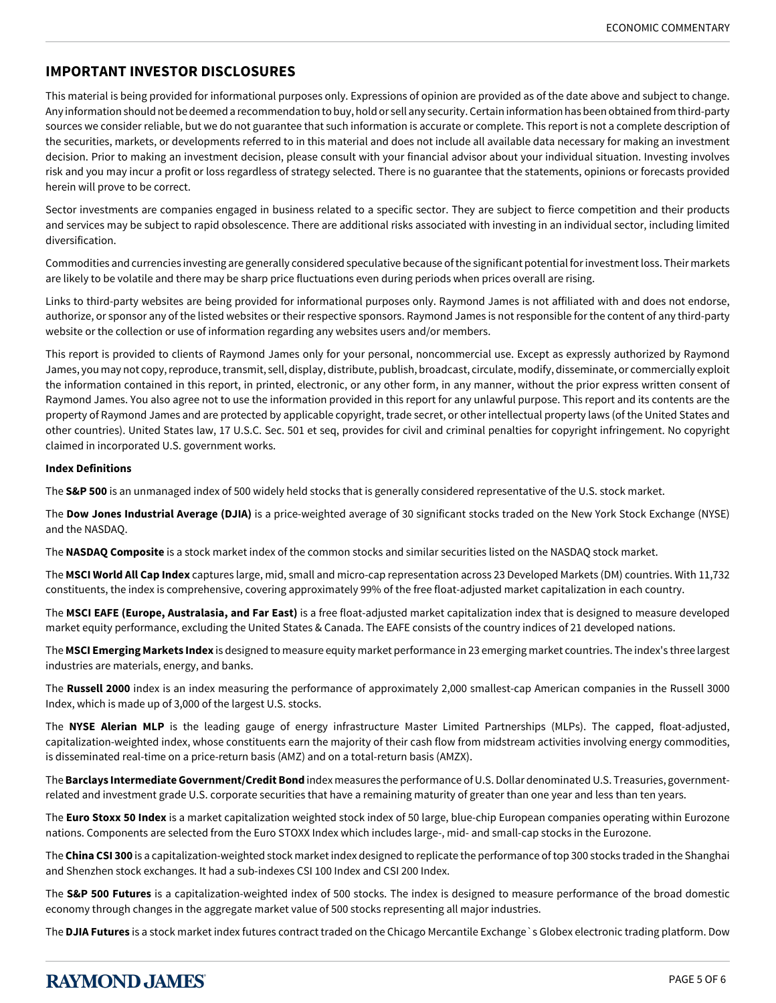# **IMPORTANT INVESTOR DISCLOSURES**

This material is being provided for informational purposes only. Expressions of opinion are provided as of the date above and subject to change. Any information should not be deemed a recommendation to buy, hold or sell any security. Certain information has been obtained from third-party sources we consider reliable, but we do not guarantee that such information is accurate or complete. This report is not a complete description of the securities, markets, or developments referred to in this material and does not include all available data necessary for making an investment decision. Prior to making an investment decision, please consult with your financial advisor about your individual situation. Investing involves risk and you may incur a profit or loss regardless of strategy selected. There is no guarantee that the statements, opinions or forecasts provided herein will prove to be correct.

Sector investments are companies engaged in business related to a specific sector. They are subject to fierce competition and their products and services may be subject to rapid obsolescence. There are additional risks associated with investing in an individual sector, including limited diversification.

Commodities and currencies investing are generally considered speculative because of the significant potential for investment loss. Their markets are likely to be volatile and there may be sharp price fluctuations even during periods when prices overall are rising.

Links to third-party websites are being provided for informational purposes only. Raymond James is not affiliated with and does not endorse, authorize, or sponsor any of the listed websites or their respective sponsors. Raymond James is not responsible for the content of any third-party website or the collection or use of information regarding any websites users and/or members.

This report is provided to clients of Raymond James only for your personal, noncommercial use. Except as expressly authorized by Raymond James, you may not copy, reproduce, transmit, sell, display, distribute, publish, broadcast, circulate, modify, disseminate, or commercially exploit the information contained in this report, in printed, electronic, or any other form, in any manner, without the prior express written consent of Raymond James. You also agree not to use the information provided in this report for any unlawful purpose. This report and its contents are the property of Raymond James and are protected by applicable copyright, trade secret, or other intellectual property laws (of the United States and other countries). United States law, 17 U.S.C. Sec. 501 et seq, provides for civil and criminal penalties for copyright infringement. No copyright claimed in incorporated U.S. government works.

### **Index Definitions**

The **S&P 500** is an unmanaged index of 500 widely held stocks that is generally considered representative of the U.S. stock market.

The **Dow Jones Industrial Average (DJIA)** is a price-weighted average of 30 significant stocks traded on the New York Stock Exchange (NYSE) and the NASDAQ.

The **NASDAQ Composite** is a stock market index of the common stocks and similar securities listed on the NASDAQ stock market.

The **MSCI World All Cap Index** captures large, mid, small and micro-cap representation across 23 Developed Markets (DM) countries. With 11,732 constituents, the index is comprehensive, covering approximately 99% of the free float-adjusted market capitalization in each country.

The **MSCI EAFE (Europe, Australasia, and Far East)** is a free float-adjusted market capitalization index that is designed to measure developed market equity performance, excluding the United States & Canada. The EAFE consists of the country indices of 21 developed nations.

The **MSCI Emerging Markets Index** is designed to measure equity market performance in 23 emerging market countries. The index's three largest industries are materials, energy, and banks.

The **Russell 2000** index is an index measuring the performance of approximately 2,000 smallest-cap American companies in the Russell 3000 Index, which is made up of 3,000 of the largest U.S. stocks.

The **NYSE Alerian MLP** is the leading gauge of energy infrastructure Master Limited Partnerships (MLPs). The capped, float-adjusted, capitalization-weighted index, whose constituents earn the majority of their cash flow from midstream activities involving energy commodities, is disseminated real-time on a price-return basis (AMZ) and on a total-return basis (AMZX).

The **Barclays Intermediate Government/Credit Bond** index measures the performance of U.S. Dollar denominated U.S. Treasuries, governmentrelated and investment grade U.S. corporate securities that have a remaining maturity of greater than one year and less than ten years.

The **Euro Stoxx 50 Index** is a market capitalization weighted stock index of 50 large, blue-chip European companies operating within Eurozone nations. Components are selected from the Euro STOXX Index which includes large-, mid- and small-cap stocks in the Eurozone.

The **China CSI 300** is a capitalization-weighted stock market index designed to replicate the performance of top 300 stocks traded in the Shanghai and Shenzhen stock exchanges. It had a sub-indexes CSI 100 Index and CSI 200 Index.

The **S&P 500 Futures** is a capitalization-weighted index of 500 stocks. The index is designed to measure performance of the broad domestic economy through changes in the aggregate market value of 500 stocks representing all major industries.

The **DJIA Futures** is a stock market index futures contract traded on the Chicago Mercantile Exchange`s Globex electronic trading platform. Dow

# **RAYMOND JAMES**